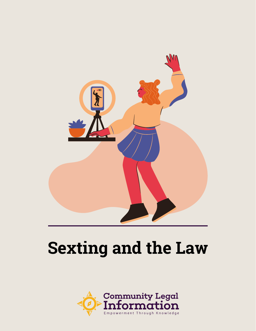

# **Sexting and the Law**

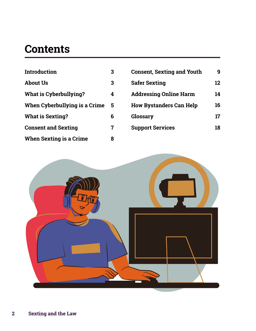### **Contents**

| Introduction                   | 3 |
|--------------------------------|---|
| <b>About Us</b>                | 3 |
| What is Cyberbullying?         | 4 |
| When Cyberbullying is a Crime  | 5 |
| <b>What is Sexting?</b>        | 6 |
| <b>Consent and Sexting</b>     | 7 |
| <b>When Sexting is a Crime</b> | 8 |

| <b>Consent, Sexting and Youth</b> |    |
|-----------------------------------|----|
| <b>Safer Sexting</b>              | 12 |
| <b>Addressing Online Harm</b>     | 14 |
| <b>How Bystanders Can Help</b>    | 16 |
| Glossary                          | 17 |
| <b>Support Services</b>           | 18 |

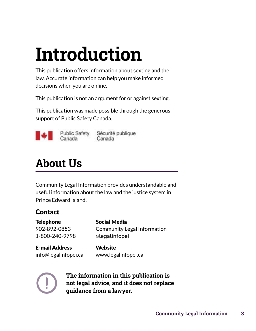# <span id="page-2-0"></span>**Introduction**

This publication offers information about sexting and the law. Accurate information can help you make informed decisions when you are online.

This publication is not an argument for or against sexting.

This publication was made possible through the generous support of Public Safety Canada.



**Public Safety** Canada

Sécurité publique Canada

## **About Us**

Community Legal Information provides understandable and useful information about the law and the justice system in Prince Edward Island.

### **Contact**

Telephone Social Media 1-800-240-9798 @legalinfopei

902-892-0853 Community Legal Information

E-mail Address Website info@legalinfopei.ca [www.legalinfopei.ca](http://www.legalinfopei.ca)



**The information in this publication is not legal advice, and it does not replace guidance from a lawyer.**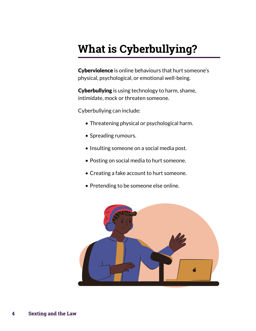# <span id="page-3-0"></span>**What is Cyberbullying?**

Cyberviolence is online behaviours that hurt someone's physical, psychological, or emotional well-being.

Cyberbullying is using technology to harm, shame, intimidate, mock or threaten someone.

Cyberbullying can include:

- Threatening physical or psychological harm.
- Spreading rumours.
- Insulting someone on a social media post.
- Posting on social media to hurt someone.
- Creating a fake account to hurt someone.
- Pretending to be someone else online.

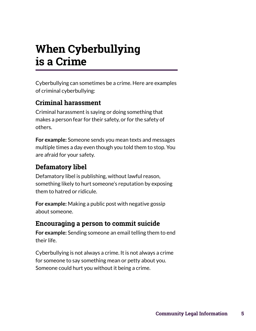### <span id="page-4-0"></span>**When Cyberbullying is a Crime**

Cyberbullying can sometimes be a crime. Here are examples of criminal cyberbullying:

### **Criminal harassment**

Criminal harassment is saying or doing something that makes a person fear for their safety, or for the safety of others.

**For example:** Someone sends you mean texts and messages multiple times a day even though you told them to stop. You are afraid for your safety.

### **Defamatory libel**

Defamatory libel is publishing, without lawful reason, something likely to hurt someone's reputation by exposing them to hatred or ridicule.

**For example:** Making a public post with negative gossip about someone.

### **Encouraging a person to commit suicide**

**For example:** Sending someone an email telling them to end their life.

Cyberbullying is not always a crime. It is not always a crime for someone to say something mean or petty about you. Someone could hurt you without it being a crime.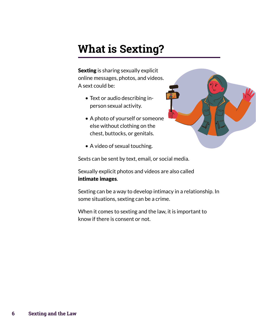### <span id="page-5-0"></span>**What is Sexting?**

Sexting is sharing sexually explicit online messages, photos, and videos. A sext could be:

- Text or audio describing inperson sexual activity.
- A photo of yourself or someone else without clothing on the chest, buttocks, or genitals.



• A video of sexual touching.

Sexts can be sent by text, email, or social media.

Sexually explicit photos and videos are also called intimate images.

Sexting can be a way to develop intimacy in a relationship. In some situations, sexting can be a crime.

When it comes to sexting and the law, it is important to know if there is consent or not.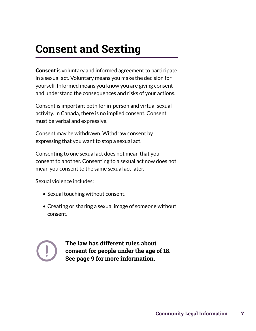### <span id="page-6-0"></span>**Consent and Sexting**

**Consent** is voluntary and informed agreement to participate in a sexual act. Voluntary means you make the decision for yourself. Informed means you know you are giving consent and understand the consequences and risks of your actions.

Consent is important both for in-person and virtual sexual activity. In Canada, there is no implied consent. Consent must be verbal and expressive.

Consent may be withdrawn. Withdraw consent by expressing that you want to stop a sexual act.

Consenting to one sexual act does not mean that you consent to another. Consenting to a sexual act now does not mean you consent to the same sexual act later.

Sexual violence includes:

- Sexual touching without consent.
- Creating or sharing a sexual image of someone without consent.



**The law has different rules about consent for people under the age of 18. See page 9 for more information.**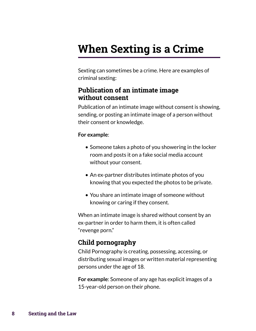### <span id="page-7-0"></span>**When Sexting is a Crime**

Sexting can sometimes be a crime. Here are examples of criminal sexting:

#### **Publication of an intimate image without consent**

Publication of an intimate image without consent is showing, sending, or posting an intimate image of a person without their consent or knowledge.

#### **For example**:

- Someone takes a photo of you showering in the locker room and posts it on a fake social media account without your consent.
- An ex-partner distributes intimate photos of you knowing that you expected the photos to be private.
- You share an intimate image of someone without knowing or caring if they consent.

When an intimate image is shared without consent by an ex-partner in order to harm them, it is often called "revenge porn."

### **Child pornography**

Child Pornography is creating, possessing, accessing, or distributing sexual images or written material representing persons under the age of 18.

**For example**: Someone of any age has explicit images of a 15-year-old person on their phone.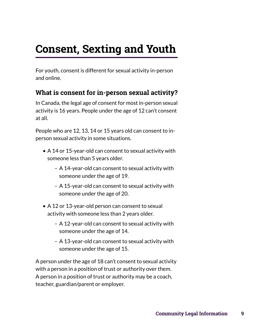# <span id="page-8-0"></span>**Consent, Sexting and Youth**

For youth, consent is different for sexual activity in-person and online.

### **What is consent for in-person sexual activity?**

In Canada, the legal age of consent for most in-person sexual activity is 16 years. People under the age of 12 can't consent at all.

People who are 12, 13, 14 or 15 years old can consent to inperson sexual activity in some situations.

- A 14 or 15-year-old can consent to sexual activity with someone less than 5 years older.
	- A 14-year-old can consent to sexual activity with someone under the age of 19.
	- A 15-year-old can consent to sexual activity with someone under the age of 20.
- A 12 or 13-year-old person can consent to sexual activity with someone less than 2 years older.
	- A 12-year-old can consent to sexual activity with someone under the age of 14.
	- A 13-year-old can consent to sexual activity with someone under the age of 15.

A person under the age of 18 can't consent to sexual activity with a person in a position of trust or authority over them. A person in a position of trust or authority may be a coach, teacher, guardian/parent or employer.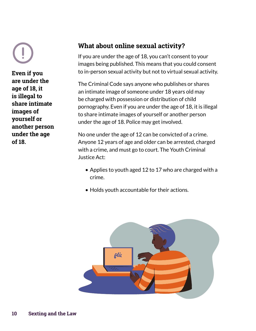**Even if you are under the age of 18, it is illegal to share intimate images of yourself or another person under the age of 18.** 

### **What about online sexual activity?**

If you are under the age of 18, you can't consent to your images being published. This means that you could consent to in-person sexual activity but not to virtual sexual activity.

The Criminal Code says anyone who publishes or shares an intimate image of someone under 18 years old may be charged with possession or distribution of child pornography. Even if you are under the age of 18, it is illegal to share intimate images of yourself or another person under the age of 18. Police may get involved.

No one under the age of 12 can be convicted of a crime. Anyone 12 years of age and older can be arrested, charged with a crime, and must go to court. The Youth Criminal Justice Act:

- Applies to youth aged 12 to 17 who are charged with a crime.
- Holds youth accountable for their actions.

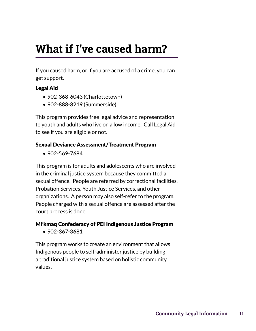# **What if I've caused harm?**

If you caused harm, or if you are accused of a crime, you can get support.

#### Legal Aid

- 902-368-6043 (Charlottetown)
- 902-888-8219 (Summerside)

This program provides free legal advice and representation to youth and adults who live on a low income. Call Legal Aid to see if you are eligible or not.

#### Sexual Deviance Assessment/Treatment Program

• 902-569-7684

This program is for adults and adolescents who are involved in the criminal justice system because they committed a sexual offence. People are referred by correctional facilities, Probation Services, Youth Justice Services, and other organizations. A person may also self-refer to the program. People charged with a sexual offence are assessed after the court process is done.

#### Mi'kmaq Confederacy of PEI Indigenous Justice Program

• 902-367-3681

This program works to create an environment that allows Indigenous people to self-administer justice by building a traditional justice system based on holistic community values.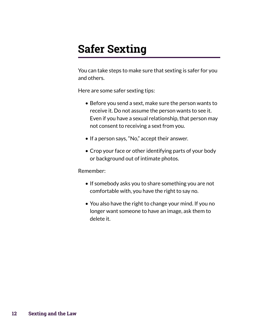## <span id="page-11-0"></span>**Safer Sexting**

You can take steps to make sure that sexting is safer for you and others.

Here are some safer sexting tips:

- Before you send a sext, make sure the person wants to receive it. Do not assume the person wants to see it. Even if you have a sexual relationship, that person may not consent to receiving a sext from you.
- If a person says, "No," accept their answer.
- Crop your face or other identifying parts of your body or background out of intimate photos.

#### Remember:

- If somebody asks you to share something you are not comfortable with, you have the right to say no.
- You also have the right to change your mind. If you no longer want someone to have an image, ask them to delete it.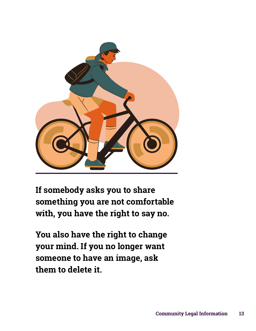

**If somebody asks you to share something you are not comfortable with, you have the right to say no.**

**You also have the right to change your mind. If you no longer want someone to have an image, ask them to delete it.**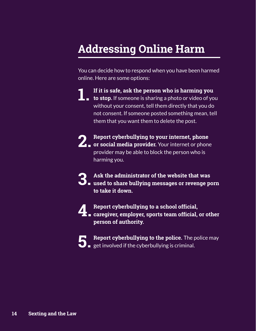## <span id="page-13-0"></span>**Addressing Online Harm**

You can decide how to respond when you have been harmed online. Here are some options:

- **If it is safe, ask the person who is harming you**
- **1** If it is safe, ask the person who is harming you<br> **1.** to stop. If someone is sharing a photo or video of you without your consent, tell them directly that you do not consent. If someone posted something mean, tell them that you want them to delete the post.
- **Report cyberbullying to your internet, phone 2.** Report cyberbullying to your internet, phone<br> **2.** or social media provider. Your internet or phone provider may be able to block the person who is harming you.
- **Ask the administrator of the website that was used to share bullying messages or revenge porn 3. to take it down.**
- 
- **Report cyberbullying to a school official, caregiver, employer, sports team official, or other 4. person of authority.**
- - **Report cyberbullying to the police.** The police may **heta helport cyberbullying to the police.** The police **of**  $\mathbf{S}$  and  $\mathbf{S}$  are involved if the cyberbullying is criminal.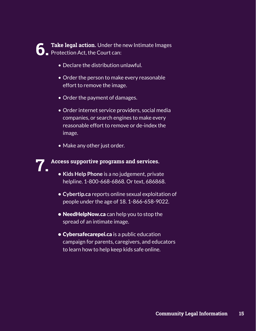

**Addressing Online Harmar Concise Interpretation Serverse Interpretation Concise Interpretation Act, the Court can:<br>Protection Act, the Court can:** 

- Declare the distribution unlawful.
- Order the person to make every reasonable effort to remove the image.
- Order the payment of damages.
- Order internet service providers, social media companies, or search engines to make every reasonable effort to remove or de-index the image.
- Make any other just order.

**Access supportive programs and services. • Kids Help Phone** is a no judgement, private **7.**

- helpline. 1-800-668-6868. Or text, 686868.
- **• Cybertip.ca** reports online sexual exploitation of people under the age of 18. 1-866-658-9022.
- NeedHelpNow.ca can help you to stop the spread of an intimate image.
- **Cybersafecarepei.ca** is a public education campaign for parents, caregivers, and educators to learn how to help keep kids safe online.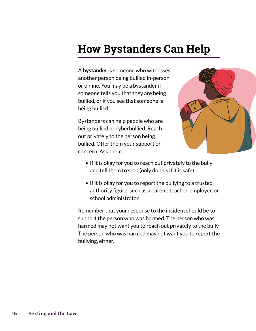### <span id="page-15-0"></span>**How Bystanders Can Help**

A bystander is someone who witnesses another person being bullied in-person or online. You may be a bystander if someone tells you that they are being bullied, or if you see that someone is being bullied.

Bystanders can help people who are being bullied or cyberbullied. Reach out privately to the person being bullied. Offer them your support or concern. Ask them:



- If it is okay for you to reach out privately to the bully and tell them to stop (only do this if it is safe).
- If it is okay for you to report the bullying to a trusted authority figure, such as a parent, teacher, employer, or school administrator.

Remember that your response to the incident should be to support the person who was harmed. The person who was harmed may not want you to reach out privately to the bully. The person who was harmed may not want you to report the bullying, either.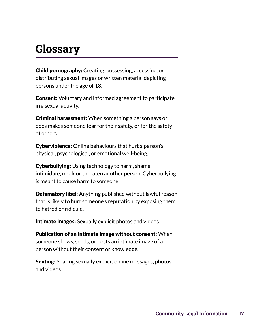### <span id="page-16-0"></span>**Glossary**

Child pornography: Creating, possessing, accessing, or distributing sexual images or written material depicting persons under the age of 18.

**Consent:** Voluntary and informed agreement to participate in a sexual activity.

**Criminal harassment:** When something a person says or does makes someone fear for their safety, or for the safety of others.

Cyberviolence: Online behaviours that hurt a person's physical, psychological, or emotional well-being.

**Cyberbullying:** Using technology to harm, shame, intimidate, mock or threaten another person. Cyberbullying is meant to cause harm to someone.

Defamatory libel: Anything published without lawful reason that is likely to hurt someone's reputation by exposing them to hatred or ridicule.

Intimate images: Sexually explicit photos and videos

Publication of an intimate image without consent: When someone shows, sends, or posts an intimate image of a person without their consent or knowledge.

**Sexting:** Sharing sexually explicit online messages, photos, and videos.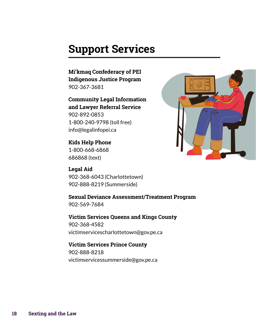### <span id="page-17-0"></span>**Support Services**

**Mi'kmaq Confederacy of PEI Indigenous Justice Program** 902-367-3681

**Community Legal Information and Lawyer Referral Service** 902-892-0853 1-800-240-9798 (toll free) info@legalinfopei.ca

**Kids Help Phone** 1-800-668-6868 686868 (text)

**Legal Aid**  902-368-6043 (Charlottetown) 902-888-8219 (Summerside)

**Sexual Deviance Assessment/Treatment Program** 902-569-7684

**Victim Services Queens and Kings County** 902-368-4582 victimservicescharlottetown@gov.pe.ca

**Victim Services Prince County** 902-888-8218 victimservicessummerside@gov.pe.ca

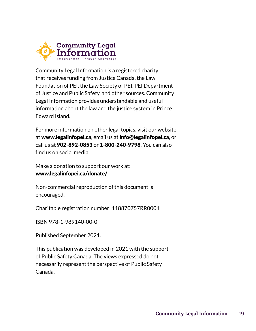

Community Legal Information is a registered charity that receives funding from Justice Canada, the Law Foundation of PEI, the Law Society of PEI, PEI Department of Justice and Public Safety, and other sources. Community Legal Information provides understandable and useful information about the law and the justice system in Prince Edward Island.

For more information on other legal topics, visit our website at [www.legalinfopei.ca](http://www.legalinfopei.ca), email us at info@legalinfopei.ca, or call us at 902-892-0853 or 1-800-240-9798. You can also find us on social media.

Make a donation to support our work at: [www.legalinfopei.ca/donate/](http://www.legalinfopei.ca/donate/).

Non-commercial reproduction of this document is encouraged.

Charitable registration number: 118870757RR0001

ISBN 978-1-989140-00-0

Published September 2021.

This publication was developed in 2021 with the support of Public Safety Canada. The views expressed do not necessarily represent the perspective of Public Safety Canada.